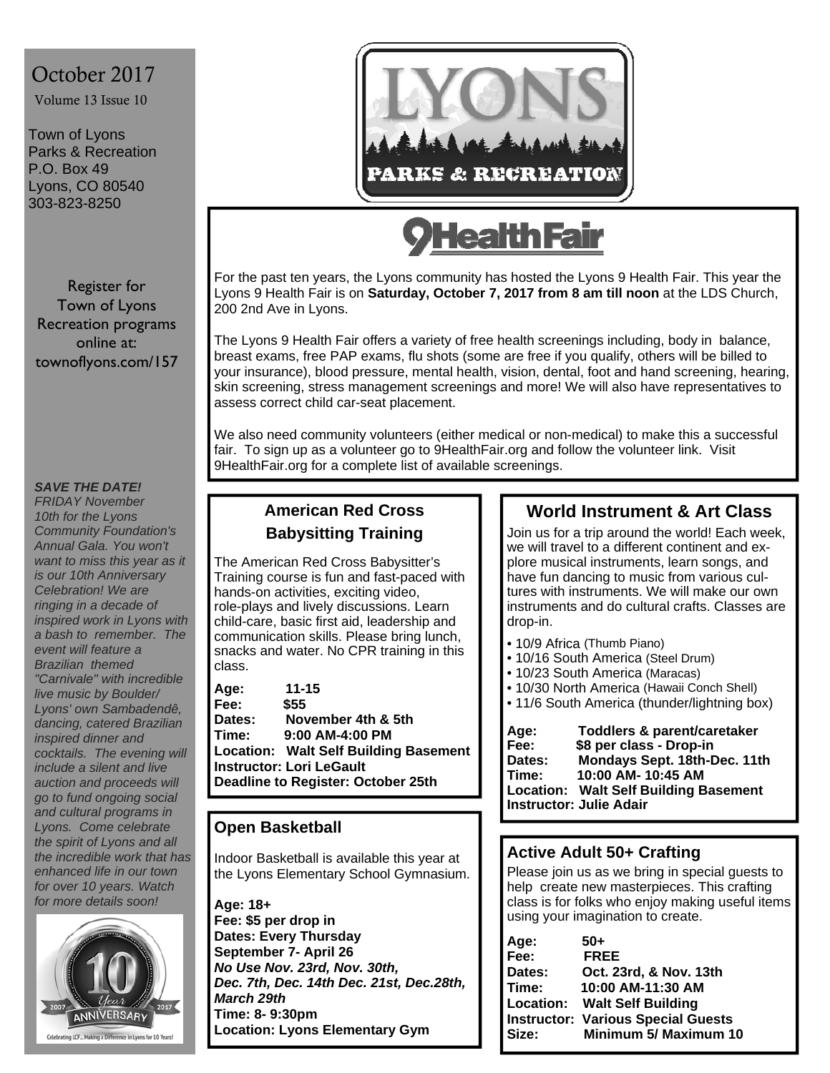# October 2017

Volume 13 Issue 10

Town of Lyons Parks & Recreation P.O. Box 49 Lyons, CO 80540 303-823-8250

Register for Town of Lyons Recreation programs online at: townoflyons.com/157

#### *SAVE THE DATE!*

*FRIDAY November 10th for the Lyons Community Foundation's Annual Gala. You won't want to miss this year as it is our 10th Anniversary Celebration! We are ringing in a decade of inspired work in Lyons with a bash to remember. The event will feature a Brazilian themed "Carnivale" with incredible live music by Boulder/ Lyons' own Sambadendê, dancing, catered Brazilian inspired dinner and cocktails. The evening will include a silent and live auction and proceeds will go to fund ongoing social and cultural programs in Lyons. Come celebrate the spirit of Lyons and all the incredible work that has enhanced life in our town for over 10 years. Watch for more details soon!* 





# **lealth Fair**

For the past ten years, the Lyons community has hosted the Lyons 9 Health Fair. This year the Lyons 9 Health Fair is on **Saturday, October 7, 2017 from 8 am till noon** at the LDS Church, 200 2nd Ave in Lyons.

The Lyons 9 Health Fair offers a variety of free health screenings including, body in balance, breast exams, free PAP exams, flu shots (some are free if you qualify, others will be billed to your insurance), blood pressure, mental health, vision, dental, foot and hand screening, hearing, skin screening, stress management screenings and more! We will also have representatives to assess correct child car-seat placement.

We also need community volunteers (either medical or non-medical) to make this a successful fair. To sign up as a volunteer go to 9HealthFair.org and follow the volunteer link. Visit 9HealthFair.org for a complete list of available screenings.

### **American Red Cross Babysitting Training**

The American Red Cross Babysitter's Training course is fun and fast-paced with hands-on activities, exciting video, role-plays and lively discussions. Learn child-care, basic first aid, leadership and communication skills. Please bring lunch, snacks and water. No CPR training in this class.

| Age:                               | $11 - 15$                             |  |
|------------------------------------|---------------------------------------|--|
| Fee:                               | \$55                                  |  |
| Dates:                             | November 4th & 5th                    |  |
| Time:                              | $9:00$ AM-4:00 PM                     |  |
|                                    | Location: Walt Self Building Basement |  |
| Instructor: Lori LeGault           |                                       |  |
| Deadline to Register: October 25th |                                       |  |
|                                    |                                       |  |

#### **Open Basketball**

Indoor Basketball is available this year at the Lyons Elementary School Gymnasium.

#### **Age: 18+**

**Fee: \$5 per drop in Dates: Every Thursday September 7- April 26**  *No Use Nov. 23rd, Nov. 30th, Dec. 7th, Dec. 14th Dec. 21st, Dec.28th, March 29th*  **Time: 8- 9:30pm Location: Lyons Elementary Gym**

## **World Instrument & Art Class**

Join us for a trip around the world! Each week, we will travel to a different continent and explore musical instruments, learn songs, and have fun dancing to music from various cultures with instruments. We will make our own instruments and do cultural crafts. Classes are drop-in.

- 10/9 Africa (Thumb Piano)
- 10/16 South America (Steel Drum)
- 10/23 South America (Maracas)
- 10/30 North America (Hawaii Conch Shell)
- 11/6 South America (thunder/lightning box)

| Age:                           | Toddlers & parent/caretaker                  |  |
|--------------------------------|----------------------------------------------|--|
| Fee:                           | \$8 per class - Drop-in                      |  |
| Dates:                         | Mondays Sept. 18th-Dec. 11th                 |  |
| Time:                          | 10:00 AM- 10:45 AM                           |  |
|                                | <b>Location: Walt Self Building Basement</b> |  |
| <b>Instructor: Julie Adair</b> |                                              |  |

#### **Active Adult 50+ Crafting**

Please join us as we bring in special guests to help create new masterpieces. This crafting class is for folks who enjoy making useful items using your imagination to create.

| Age:   | 50+                                       |
|--------|-------------------------------------------|
| Fee:   | <b>FREE</b>                               |
| Dates: | Oct. 23rd, & Nov. 13th                    |
| Time:  | 10:00 AM-11:30 AM                         |
|        | <b>Location: Walt Self Building</b>       |
|        | <b>Instructor: Various Special Guests</b> |
| Size:  | <b>Minimum 5/ Maximum 10</b>              |